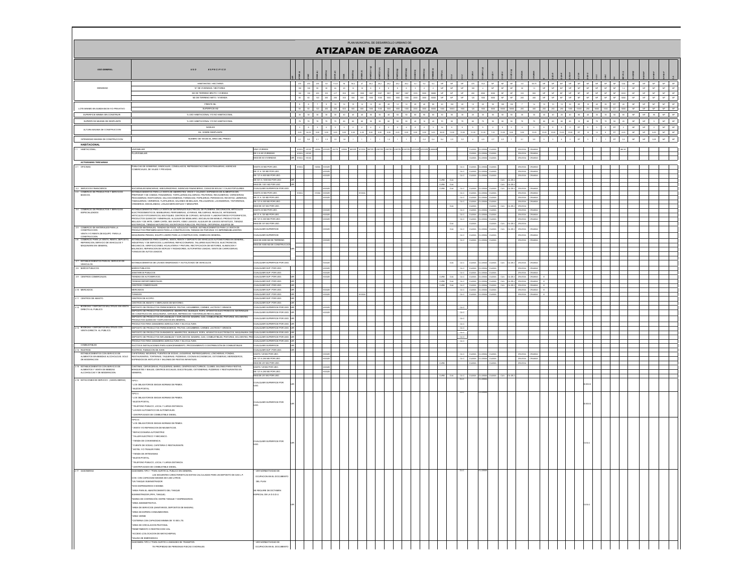|                                                                                                      |                                                                                                                                                                                                                                                                                                                                                                                                                                                                                                                                                                                                                                                                                                                                          |                                                                                                            |                        |                   |                         | ATIZAPAN DE ZARAGOZA                                                                                                                                                                                                       |             |        | PLAN MUNICIPAL DE DESARROLLO URBANO DE |                  |             |                   |                                                                                             |                                   |                                                                                           |                       |                              |                                      |                                    |                        |                  |               |                                                                                                               |                                 |    |           |                                                                                                                      |                  |                     |  |
|------------------------------------------------------------------------------------------------------|------------------------------------------------------------------------------------------------------------------------------------------------------------------------------------------------------------------------------------------------------------------------------------------------------------------------------------------------------------------------------------------------------------------------------------------------------------------------------------------------------------------------------------------------------------------------------------------------------------------------------------------------------------------------------------------------------------------------------------------|------------------------------------------------------------------------------------------------------------|------------------------|-------------------|-------------------------|----------------------------------------------------------------------------------------------------------------------------------------------------------------------------------------------------------------------------|-------------|--------|----------------------------------------|------------------|-------------|-------------------|---------------------------------------------------------------------------------------------|-----------------------------------|-------------------------------------------------------------------------------------------|-----------------------|------------------------------|--------------------------------------|------------------------------------|------------------------|------------------|---------------|---------------------------------------------------------------------------------------------------------------|---------------------------------|----|-----------|----------------------------------------------------------------------------------------------------------------------|------------------|---------------------|--|
| USO GENERAL                                                                                          | ESPECIFICO<br>050                                                                                                                                                                                                                                                                                                                                                                                                                                                                                                                                                                                                                                                                                                                        |                                                                                                            |                        |                   |                         |                                                                                                                                                                                                                            |             |        |                                        |                  |             |                   |                                                                                             |                                   |                                                                                           |                       |                              |                                      |                                    |                        |                  |               |                                                                                                               |                                 |    |           |                                                                                                                      |                  |                     |  |
|                                                                                                      | HABITANTES / HECTAREA                                                                                                                                                                                                                                                                                                                                                                                                                                                                                                                                                                                                                                                                                                                    |                                                                                                            |                        | $470$ $470$ $235$ |                         | 941 112.8 94 95.4 47 28.2 28.2 28.2 28.2 28.2 14.1                                                                                                                                                                         |             |        |                                        |                  |             |                   | $9.4 \qquad 9.4 \qquad \text{NP} \qquad \text{NP} \qquad \text{NP} \qquad \text{NP} \qquad$ |                                   | $470 \qquad 18.8 \qquad 10^{\circ} \qquad 10^{\circ} \qquad 10^{\circ} \qquad 10^{\circ}$ |                       |                              |                                      |                                    |                        |                  |               | $941 \qquad 53.75 \qquad 80 \qquad 80 \qquad 80 \qquad 80 \qquad 80 \qquad 80 \qquad 80 \qquad 80 \qquad 554$ |                                 |    |           | NP                                                                                                                   |                  | $NP$ $NP$ $NP$ $NP$ |  |
| DENSIDAD                                                                                             | N' DE VIVIENDAS / HECTAREA<br>M2 DE TERRENO BRUTO / VIVIENDO                                                                                                                                                                                                                                                                                                                                                                                                                                                                                                                                                                                                                                                                             |                                                                                                            |                        |                   |                         |                                                                                                                                                                                                                            |             |        |                                        |                  |             |                   |                                                                                             |                                   |                                                                                           |                       |                              |                                      |                                    |                        |                  |               |                                                                                                               |                                 |    |           |                                                                                                                      |                  |                     |  |
|                                                                                                      | M2 DE TERRENO NETO / VIVIENDA                                                                                                                                                                                                                                                                                                                                                                                                                                                                                                                                                                                                                                                                                                            |                                                                                                            |                        |                   |                         |                                                                                                                                                                                                                            |             |        |                                        |                  |             |                   |                                                                                             |                                   |                                                                                           |                       |                              |                                      |                                    |                        |                  |               |                                                                                                               |                                 |    |           |                                                                                                                      |                  |                     |  |
| LOTE MINIMO EN SUBDIVISION Y/O PRIVATIVO                                                             | FRENTE ML<br>SUPERFICIE M2                                                                                                                                                                                                                                                                                                                                                                                                                                                                                                                                                                                                                                                                                                               |                                                                                                            |                        |                   |                         |                                                                                                                                                                                                                            |             |        |                                        |                  |             |                   |                                                                                             |                                   |                                                                                           |                       |                              |                                      |                                    |                        |                  |               |                                                                                                               |                                 |    |           |                                                                                                                      |                  |                     |  |
|                                                                                                      |                                                                                                                                                                                                                                                                                                                                                                                                                                                                                                                                                                                                                                                                                                                                          |                                                                                                            |                        |                   |                         |                                                                                                                                                                                                                            |             |        |                                        |                  |             |                   |                                                                                             |                                   |                                                                                           |                       |                              |                                      |                                    |                        |                  |               |                                                                                                               |                                 |    |           |                                                                                                                      |                  |                     |  |
| SUPERFICIE MAXIMA DE DESPLANTE                                                                       | % USO HABITACIONAL Y/O NO HABITACIONAL                                                                                                                                                                                                                                                                                                                                                                                                                                                                                                                                                                                                                                                                                                   |                                                                                                            |                        |                   |                         |                                                                                                                                                                                                                            |             |        |                                        |                  |             |                   |                                                                                             |                                   |                                                                                           |                       |                              |                                      |                                    |                        |                  |               |                                                                                                               |                                 |    |           |                                                                                                                      |                  |                     |  |
| ALTURA MAXIMA DE CONSTRUCCION                                                                        | NWELES                                                                                                                                                                                                                                                                                                                                                                                                                                                                                                                                                                                                                                                                                                                                   |                                                                                                            |                        | $\sim$<br>$2 -$   |                         |                                                                                                                                                                                                                            | $2 \quad 2$ |        | $2$ $2$                                | 2<br>$\,$ 2 $\,$ | $2 \quad 3$ |                   | 12<br>$\sim$                                                                                |                                   | $\sim$                                                                                    |                       |                              | $2 -$                                |                                    | 5                      | $\mathfrak{s}$ . | $\mathfrak s$ |                                                                                                               | $5 \qquad 3 \qquad 2 \qquad 07$ |    |           | NP                                                                                                                   | $_{\mathrm{NP}}$ | $2\,$ MP $_{\odot}$ |  |
|                                                                                                      | M. SOBRE DESPLANTE<br>NUMERO DE VECES EL AREA DEL PREDIC                                                                                                                                                                                                                                                                                                                                                                                                                                                                                                                                                                                                                                                                                 |                                                                                                            |                        |                   |                         | 9,00   24,00   9,00   9,00   9,00   9,00   9,00   9,00   9,00   9,00   9,00   9,00   95,00   95,00   95,00   95,00   95,00   95,00   95,00   95,00   95,00   95,00   95,00   95,00   95,00   95,00   95,00   95,00   95,00 |             |        |                                        |                  |             |                   |                                                                                             |                                   |                                                                                           | 15.00 7.00 15.00 9.00 |                              |                                      |                                    | 9,00 15,00 15,00 15,00 | 15,00            | 15,00 DT      |                                                                                                               | 15 12 1                         |    | 8 DT 6,00 | $\mathbb{R}$ $\mathbb{R}$ $\mathbb{R}$ $\mathbb{R}$ $\mathbb{R}$ $\mathbb{R}$ $\mathbb{R}$ $\mathbb{R}$ $\mathbb{R}$ |                  |                     |  |
| INTENSIDAD MAXIMA DE CONSTRUCCION<br><b>HABITACIONAL</b>                                             |                                                                                                                                                                                                                                                                                                                                                                                                                                                                                                                                                                                                                                                                                                                                          |                                                                                                            | 2.5                    | $5,6$ $2,1$       | 1.5<br>1,5              | 1.8                                                                                                                                                                                                                        |             | $12 -$ |                                        |                  |             | $0.2 - 0.4 - 0.4$ | 2,5                                                                                         | 3,5                               | $\overline{4}$<br>4,9                                                                     |                       | 2,5                          | 2,1                                  |                                    |                        |                  |               |                                                                                                               |                                 | DT | 0.2       | $\mathsf{NP} \qquad \mathsf{NP} \qquad \mathsf{Q}, \mathsf{OS} \qquad \mathsf{NP}$                                   |                  |                     |  |
| <b>HABITACIONAL</b>                                                                                  | NFAMUAR<br>RIFAMILIA                                                                                                                                                                                                                                                                                                                                                                                                                                                                                                                                                                                                                                                                                                                     | UNA VIVIENDA<br>DE 2 A 60 VIVIENDAS                                                                        | <b>HIGGA</b>           |                   |                         |                                                                                                                                                                                                                            |             |        |                                        |                  |             |                   |                                                                                             |                                   |                                                                                           |                       |                              |                                      |                                    |                        |                  |               |                                                                                                               |                                 |    |           |                                                                                                                      |                  |                     |  |
|                                                                                                      |                                                                                                                                                                                                                                                                                                                                                                                                                                                                                                                                                                                                                                                                                                                                          | MAS DE 60 VIVIENDAS                                                                                        |                        |                   |                         |                                                                                                                                                                                                                            |             |        |                                        |                  |             |                   |                                                                                             |                                   |                                                                                           |                       |                              |                                      |                                    |                        |                  |               |                                                                                                               |                                 |    |           |                                                                                                                      |                  |                     |  |
| ACTIVIDADES TERCIARIAS<br>2.1 OFICINAS.                                                              | ILICAS DE GOBIERNO, SINDICALES, CONSULADOS, REPRESENTACIONES E                                                                                                                                                                                                                                                                                                                                                                                                                                                                                                                                                                                                                                                                           | HASTA 30 M2 POR USO                                                                                        |                        |                   |                         |                                                                                                                                                                                                                            |             |        |                                        |                  |             |                   |                                                                                             |                                   |                                                                                           |                       |                              |                                      |                                    |                        |                  |               |                                                                                                               |                                 |    |           |                                                                                                                      |                  |                     |  |
|                                                                                                      | ERCIALES, DE VIAJES Y PRIVADAS                                                                                                                                                                                                                                                                                                                                                                                                                                                                                                                                                                                                                                                                                                           | DE 31 A 120 M2 POR USO.<br>DE 121 A 500 M2 POR USO.                                                        |                        |                   | MASSAC<br>innze         |                                                                                                                                                                                                                            |             |        |                                        |                  |             |                   |                                                                                             | cuc<br>cuc                        | CU200A<br>non                                                                             | A00SUC<br>A00SU       |                              |                                      | CRU223A CRUBBIA<br>CRU223A CRUBBS  |                        |                  |               |                                                                                                               |                                 |    |           |                                                                                                                      |                  |                     |  |
|                                                                                                      |                                                                                                                                                                                                                                                                                                                                                                                                                                                                                                                                                                                                                                                                                                                                          | DE 501 A 1000 M2 POR USO                                                                                   | <b>Lure</b>            |                   |                         |                                                                                                                                                                                                                            |             |        |                                        |                  |             |                   | cura cuv                                                                                    |                                   |                                                                                           |                       | cus cuase                    |                                      |                                    |                        |                  |               |                                                                                                               |                                 |    |           |                                                                                                                      |                  |                     |  |
| 2,2 SERVICIOS FINANCIEROS.                                                                           | SUCURSALES BANCARIAS, ASEGURADORAS, AGENCIAS FINANCIERAS, CASAS DE BOLSA Y CAJAS POPULARES.                                                                                                                                                                                                                                                                                                                                                                                                                                                                                                                                                                                                                                              | MAS DE 1001 M2 POR USO<br>CUALQUER SUPERFICIE POR                                                          | <b>UR</b>              |                   |                         |                                                                                                                                                                                                                            |             |        |                                        |                  |             | cura              | $CUBB$ $CUA$<br>cus cuc                                                                     |                                   |                                                                                           |                       | cus cuase<br>COA CUA CU-25-2 |                                      | SU333A CRUBBOA                     |                        |                  |               |                                                                                                               |                                 |    |           |                                                                                                                      |                  |                     |  |
| COMERCIO DE PRODUCTO<br>BASICOS.                                                                     | STABLECIMENTOS PARA LA VENTA DE ABARROTES, VINOS Y CALZADO; EXPENDIOS DE ALIMENTOS SIN<br>EPARAR Y DE COMIDA; PANADERIAS, TORTILLERIAS, DULCERIAS, FRUTERIAS, RECAUDERIAS, CARNICERIAS,<br>PESCADERIAS, ROSTICERIAS, SALCHICHONERIAS, FARMACIAS, PAPELERIAS, PERIODICOS, REVISTAS, LIBRERIAS,                                                                                                                                                                                                                                                                                                                                                                                                                                            | ASTA 30 M2 POR USO<br>DE 31 A 120 M2 POR USO                                                               |                        |                   |                         |                                                                                                                                                                                                                            |             |        |                                        |                  |             |                   |                                                                                             | $1$<br>$1$                        |                                                                                           |                       |                              |                                      | CRU333A CRU800A<br>SRU333A CRUBBOA |                        |                  |               |                                                                                                               |                                 |    |           |                                                                                                                      |                  |                     |  |
|                                                                                                      | ABAQUERIAS, VIDRERIAS, TLAPALERIAS, SALONES DE BELLEZA, PELUQUERIAS, LAVANDERIAS, TINTORERIAS,<br>REMERIAS, MISCELANEAS, LONJAS MERCANTILES Y MINISUPER.                                                                                                                                                                                                                                                                                                                                                                                                                                                                                                                                                                                 | DE 121 A 300 M2 POR US<br>MAS DE 301 M2 POR L                                                              |                        |                   |                         |                                                                                                                                                                                                                            |             |        |                                        |                  |             |                   |                                                                                             | $_{\rm cc}$                       |                                                                                           | LCCCA                 | 200A CUA CU-2E-              |                                      | CRU333A CRUBBSA                    |                        |                  |               |                                                                                                               |                                 |    |           |                                                                                                                      |                  |                     |  |
| 4 COMERCIO DE PRODUCTOS Y SERVICIOS<br>ESPECIALIZADOS                                                | TABLECIMENTOS PARA LA VENTA DE MATERIALES ELECTRICOS. DE PLOMERIA, DECORACIÓN, ARTICULOS<br>LECTRODOMESTICOS, MUEBLERIAS, PERFUMERIAS, JOYERIAS, RELOJERIAS, REGALOS, ARTESANIAS                                                                                                                                                                                                                                                                                                                                                                                                                                                                                                                                                         | HASTA 30 M2 POR USO.                                                                                       |                        |                   | 103326                  |                                                                                                                                                                                                                            |             |        |                                        |                  |             |                   | <b>CIUA</b>                                                                                 | CUC CU200A CU2500A CU200A         |                                                                                           |                       |                              |                                      | CRU223A CRU800A                    |                        |                  |               |                                                                                                               |                                 |    |           |                                                                                                                      |                  |                     |  |
|                                                                                                      | TICULOS FOTOGRAFICOS, BOUTIQUES, CENTROS DE COPIADO, ESTUDIOS Y LABORATORIOS FOTOGRAFICOS.                                                                                                                                                                                                                                                                                                                                                                                                                                                                                                                                                                                                                                               | DE 31 A 120 M2 POR USO.<br>DE 121 A 300 M2 POR USO                                                         |                        |                   | H3332E<br>103320        |                                                                                                                                                                                                                            |             |        |                                        |                  |             |                   |                                                                                             | CUC CU200A CU2500A CU200A<br>cu.c | A00SU                                                                                     | A00SU                 |                              |                                      | CRU223A CRUBBEA<br>CRU223A CRUBBOA |                        |                  |               |                                                                                                               |                                 |    |           |                                                                                                                      |                  |                     |  |
|                                                                                                      | ndadesto ou danapolos tados nos estas de compartir el compartir de la provincia de segundo de la compartir de<br>LEZA Y DE ANTE, CIBER CAPÉS, ESC SENDE DE LOGILIARO, ESCUELAS DE MAREJO, PRODUCTOS DE<br>LEZA Y DE ANTE, CIBER CAP                                                                                                                                                                                                                                                                                                                                                                                                                                                                                                      | MAS DE 301 M2 POR USO.<br>CUALQUER SUPERFICIE                                                              |                        |                   |                         |                                                                                                                                                                                                                            |             |        |                                        |                  |             |                   | CUA                                                                                         | cu c                              | CU200                                                                                     | Li200A                | CU200A CUA CU-26-2<br>CLIA   | CRU223A<br>cu-ze-2                   |                                    |                        |                  |               |                                                                                                               |                                 |    |           |                                                                                                                      |                  |                     |  |
| 5 COMERCIÓ DE MATERIALES PARA LA<br>CONSTRUCCIÓN<br>VENTA Y/O RENTA DE EQUIPO PARA LA                | ASAS DE MATERIALES, TIENDAS DE PISOS, AZULEJOS Y BAÑOS, ESTABLECIMENTOS PARA LA VENTA DE<br>RODUCTOS PREFABRICADOS PARA LA CONSTRUCCIÓN, TIENDAS DE PINTURAS Y/O IMPERMEABLIZANTES.<br>XINARIA PESADA, EQUIPO LIGERO PARA LA CONSTRUCCIÓN, CIMBRA EN GENERAL                                                                                                                                                                                                                                                                                                                                                                                                                                                                             | CUALQUER SUPERFICIE                                                                                        |                        |                   |                         |                                                                                                                                                                                                                            |             |        |                                        |                  |             |                   | <b>CUA</b>                                                                                  | cu c                              | 1200A                                                                                     | A00SU                 |                              | ACCCUR<br>CRU223A                    | CRUSS                              |                        |                  |               |                                                                                                               |                                 |    |           |                                                                                                                      |                  |                     |  |
| CONSTRUCCION.<br>COMERCIO PARA LA VENTA, RENTA, DEPO                                                 |                                                                                                                                                                                                                                                                                                                                                                                                                                                                                                                                                                                                                                                                                                                                          | MAS DE 6000 M2 DE TERRENO                                                                                  |                        |                   |                         |                                                                                                                                                                                                                            |             |        |                                        |                  |             |                   |                                                                                             |                                   |                                                                                           |                       |                              | J333A                                |                                    |                        |                  |               |                                                                                                               |                                 |    |           |                                                                                                                      |                  |                     |  |
| REPARACION, SERVICIO DE VEHICULOS Y<br>REPARACION, SERVICIO DE VEHICULOS Y<br>MAQUINARIA EN GENERAL. | INMALINIENTIIN PROTOJIM POLITIKA, NEPACIONARIAS, TALERES ELECTRICAS, ELECTRONICOS,<br>ISBN PAL Y DE SERVICIOS, LIANTERAS, REPACIONARIAS, TALERES ELECTRICAS, ELECTRONICOS,<br>LANCEO, NEPAPACIONES, HOJALATERIA Y PINTURA, RECTRICAC                                                                                                                                                                                                                                                                                                                                                                                                                                                                                                     | MAS DE 5000 M2 DE CONSTRUCCIO                                                                              |                        |                   |                         |                                                                                                                                                                                                                            |             |        |                                        |                  |             |                   |                                                                                             |                                   |                                                                                           |                       |                              |                                      |                                    |                        |                  |               |                                                                                                               |                                 |    |           |                                                                                                                      |                  |                     |  |
|                                                                                                      |                                                                                                                                                                                                                                                                                                                                                                                                                                                                                                                                                                                                                                                                                                                                          |                                                                                                            |                        |                   |                         |                                                                                                                                                                                                                            |             |        |                                        |                  |             |                   |                                                                                             |                                   |                                                                                           |                       |                              |                                      |                                    |                        |                  |               |                                                                                                               |                                 |    |           |                                                                                                                      |                  |                     |  |
| ESTABLECIMEN<br>VEHICLLOS.                                                                           | ESTABLECMENTOS DE LAVADO ENGRASADO Y AUTOLAVADO DE VEHICULOS.                                                                                                                                                                                                                                                                                                                                                                                                                                                                                                                                                                                                                                                                            | CUALQUER SUPERFICIE POR USO.                                                                               |                        |                   |                         |                                                                                                                                                                                                                            |             |        |                                        |                  |             |                   |                                                                                             | cu                                |                                                                                           |                       |                              | cux cuase<br>Account                 |                                    |                        |                  |               |                                                                                                               |                                 |    |           |                                                                                                                      |                  |                     |  |
| 2.8 BAROS PUBLICOS                                                                                   | ANOS PUBLICOS.<br>ANITARIOS PUBLICOS                                                                                                                                                                                                                                                                                                                                                                                                                                                                                                                                                                                                                                                                                                     | CUALQUER SUP. POR USO.<br>CUALQUIER SUP, POR USO.                                                          |                        |                   | <b>H3332E</b><br>unnae. |                                                                                                                                                                                                                            |             |        |                                        |                  |             |                   |                                                                                             | CUC CU200A<br>T cu c              |                                                                                           | 2500A CU200A          |                              |                                      | CRU333A CRU800A<br>CRU223A CRUBBIA |                        |                  |               |                                                                                                               |                                 |    |           |                                                                                                                      |                  |                     |  |
| 2.9 CENTROS COMERCIALES.                                                                             | ENDAS DE AUTOSERVICIO                                                                                                                                                                                                                                                                                                                                                                                                                                                                                                                                                                                                                                                                                                                    | CUALQUER SUP. POR USO.                                                                                     | uR<br>uR               |                   |                         |                                                                                                                                                                                                                            |             |        |                                        |                  |             |                   | cura cua cuic                                                                               |                                   |                                                                                           |                       |                              | CU200A CUA CU-25-2 CRU223A CRU800A E |                                    |                        |                  |               |                                                                                                               |                                 |    |           |                                                                                                                      |                  |                     |  |
|                                                                                                      | ENDAS DEPARTAMENTALES<br><b>ENTROS COMERCIALES.</b>                                                                                                                                                                                                                                                                                                                                                                                                                                                                                                                                                                                                                                                                                      | CUALQUER SUP. POR USO<br>CUALQUER SUP. POR USO.                                                            | Turk                   |                   |                         |                                                                                                                                                                                                                            |             |        |                                        |                  |             | CURB              | cus cu c                                                                                    |                                   | 1200                                                                                      |                       | U200A CUA CU-25-2            | CROSS CUA CU-25-2 CRUSSA CRUSSA E    | CRU223A CRU800A E                  |                        |                  |               |                                                                                                               |                                 |    |           |                                                                                                                      |                  |                     |  |
| 2.10 MERCADOS.                                                                                       |                                                                                                                                                                                                                                                                                                                                                                                                                                                                                                                                                                                                                                                                                                                                          | CUALQUER SUP. POR USO<br>CUALQUER SUP. POR USO                                                             | $\sqrt{m}$<br>Ture     |                   |                         |                                                                                                                                                                                                                            |             |        |                                        |                  |             |                   |                                                                                             | cu.c<br>cuc                       |                                                                                           |                       |                              |                                      |                                    | $\overline{a}$<br>⊺∗   |                  |               |                                                                                                               |                                 |    |           |                                                                                                                      |                  |                     |  |
| 11 CENTROS DE ABASTO.                                                                                | ROS DE ACOPIO<br>ROS DE ABASTO Y MERCADOS DE MAYOREO                                                                                                                                                                                                                                                                                                                                                                                                                                                                                                                                                                                                                                                                                     | CUALQUER SUP. POR USO<br>CUALQUIER SUP. POR USO                                                            | <b>UR</b><br><b>UR</b> |                   |                         |                                                                                                                                                                                                                            |             |        |                                        |                  |             |                   |                                                                                             |                                   |                                                                                           |                       |                              |                                      |                                    |                        |                  |               |                                                                                                               |                                 |    |           |                                                                                                                      |                  |                     |  |
| 12 BODEGAS Y DEPOSITOS MULTIPLES SIN VENT<br>DIRECTA AL PUBLICO.                                     | OSITO DE PRODUCTOS PERECEDEROS: FRUTAS, LEGUMERES, CARNES, LACTEOS Y GRANO                                                                                                                                                                                                                                                                                                                                                                                                                                                                                                                                                                                                                                                               | CUALQUER SUPERFICIE POR USO. UIR                                                                           |                        |                   | H3332E                  |                                                                                                                                                                                                                            |             |        |                                        |                  |             |                   |                                                                                             | cu c                              |                                                                                           |                       |                              |                                      |                                    |                        |                  |               |                                                                                                               |                                 |    |           |                                                                                                                      |                  |                     |  |
|                                                                                                      | DEPOSITO DE PRODUCTOS DURADEROS: ABARROTES, MUEBLES, ROPA, APARATOS ELECTRONI<br>DE CONSTRUCCION, MAQUINARIA, CERVEZA, REFRESCOS Y MATERIALES RECICLABLES.                                                                                                                                                                                                                                                                                                                                                                                                                                                                                                                                                                               | CUALQUER SUPERFICIE POR USO. UIR                                                                           |                        |                   | 33325                   |                                                                                                                                                                                                                            |             |        |                                        |                  |             |                   |                                                                                             | cu c                              |                                                                                           |                       |                              |                                      |                                    |                        |                  |               |                                                                                                               |                                 |    |           |                                                                                                                      |                  |                     |  |
|                                                                                                      | LONDI MUGLION, WINDOWS VON TRANSLANT NEW PRODUCT TIME IN ANGLES IN THE PRODUCTION IN A SOLVENTES<br>OSITO DE PRODUCTOS INFLAMALES Y EXPLOSIVOS: MADERA, GAS, COMBUSTIBLES, PINTURAS, SOLVENTES<br>DUCTOS QUIMICOS Y EXPLOSIVOS EN GE<br>DUCTOS PARA GANADERIA AGRICULTURA Y SILVICULTURA                                                                                                                                                                                                                                                                                                                                                                                                                                                 | CUALQUER SUPERFICIE POR USO. UR<br>CUALQUER SUPERFICIE POR USO. UIR                                        |                        |                   |                         |                                                                                                                                                                                                                            |             |        |                                        |                  |             |                   |                                                                                             | cu c<br>cu c                      |                                                                                           |                       |                              |                                      |                                    |                        |                  |               |                                                                                                               |                                 |    |           |                                                                                                                      |                  |                     |  |
| 2.13 BODEGAS Y DEPOSITOS MULTIPLES CON<br>VENTA DIRECTA AL PUBLICO.                                  | POSITO DE PRODUCTOS PERECEDEROS: FRUTAS, LEGUMBRES, CARNES, LACTEOS Y GRANOS.<br>EPOSITO DE PRODUCTOS DURADEROS: ABARROTES, MUEBLES, ROPA, APARATOS ELECTRONICOS, MAQUINARIA CER CUALQUER SUPERFICIE POR USO. UR                                                                                                                                                                                                                                                                                                                                                                                                                                                                                                                         | CUALQUER SUPERFICIE POR USO. UIR                                                                           |                        |                   |                         |                                                                                                                                                                                                                            |             |        |                                        |                  |             |                   |                                                                                             | cuc<br>cu c                       |                                                                                           |                       |                              |                                      |                                    |                        |                  |               |                                                                                                               |                                 |    |           |                                                                                                                      |                  |                     |  |
|                                                                                                      | OSITO DE PRODUCTOS INFLAMABLES Y EXPLOSIVOS: MADERA, GAS, COMBUSTIBLES, PINTURAS, SOLVENTES, PROCUALQUIER SUPERFICIE POR USO. UIR                                                                                                                                                                                                                                                                                                                                                                                                                                                                                                                                                                                                        |                                                                                                            |                        |                   |                         |                                                                                                                                                                                                                            |             |        |                                        |                  |             |                   |                                                                                             | cuc                               |                                                                                           |                       |                              |                                      |                                    |                        |                  |               |                                                                                                               |                                 |    |           |                                                                                                                      |                  |                     |  |
| COMBUSTBLES                                                                                          | ODUCTOS PARA GANADERIA AGRICULTURA Y SILVICULTURA<br>CTOS E INSTALACIONES PARA ALMACENAMIENTO, PROCESA                                                                                                                                                                                                                                                                                                                                                                                                                                                                                                                                                                                                                                   | CUALQUER SUPERFICIE POR USO. UR<br><b>CUALQUER SUPERFICE</b>                                               |                        |                   |                         |                                                                                                                                                                                                                            |             |        |                                        |                  |             |                   |                                                                                             | cuc                               |                                                                                           |                       |                              |                                      |                                    |                        |                  |               |                                                                                                               |                                 |    |           |                                                                                                                      |                  |                     |  |
| 14 RASTROS.<br>ESTABLECIMIENTOS CON SERVICIO DE<br>ALIMENTOS SIN BEBIDAS ALCOHOLICAS, SOLO           | RASTROS, FAENACION DE AVES.<br>CAFETERIAS, NEVERIAS, FUENTES DE SODAS, JUGUERIAS, REFRESQUERIAS, LONCHERIAS, FONDAS,<br>RESTAURANTES, TORTERIAS, TAQUERIAS, PIZZERIAS, COCINAS ECONOMICAS, OSTIONERIAS, MERENDEROS,                                                                                                                                                                                                                                                                                                                                                                                                                                                                                                                      | CUALQUER SUP. POR USO<br>HASTA 120 M2 POR USO                                                              | <b>UR</b>              |                   |                         |                                                                                                                                                                                                                            |             |        |                                        |                  |             |                   |                                                                                             |                                   |                                                                                           |                       |                              |                                      |                                    |                        |                  |               |                                                                                                               |                                 |    |           |                                                                                                                      |                  |                     |  |
| DE MODERACION                                                                                        | INDIOS DE ANTOJITOS Y SALONES DE FIESTAS INFANTILES.                                                                                                                                                                                                                                                                                                                                                                                                                                                                                                                                                                                                                                                                                     | DE 121 A 250 M2 POR USO.<br>MAS DE 251 M2 POR USO                                                          | П                      |                   | H3332E                  |                                                                                                                                                                                                                            |             |        |                                        |                  |             |                   |                                                                                             | cu.c                              |                                                                                           | 2500A<br>A00SU2       |                              |                                      | CRU333A CRU800A                    |                        |                  |               |                                                                                                               |                                 |    |           |                                                                                                                      |                  |                     |  |
| ALIMENTOS Y VENTA DE BEBIDAS                                                                         | TINAS, CERVECERIAS, PULOUERIAS, BARES, CENTROS NOCTURNOS, CLUBES; SALONES PARA FIESTAS<br>ANQUETES Y BAILES, CENTROS SOCIALES, DISCOTEQUES, OSTIONERIAS, PIZZERIAS Y RESTAURANTES EN                                                                                                                                                                                                                                                                                                                                                                                                                                                                                                                                                     | HASTA 120 M2 POR USO<br>DE 121 A 250 M2 POR USO                                                            |                        |                   | 10332E                  |                                                                                                                                                                                                                            |             |        |                                        |                  |             |                   |                                                                                             |                                   |                                                                                           |                       |                              |                                      |                                    |                        |                  |               |                                                                                                               |                                 |    |           |                                                                                                                      |                  |                     |  |
| ALCOHOLICAS Y DE MODERACIÓN                                                                          |                                                                                                                                                                                                                                                                                                                                                                                                                                                                                                                                                                                                                                                                                                                                          | MAS DE 251 M2 POR USO                                                                                      |                        |                   |                         |                                                                                                                                                                                                                            |             |        |                                        |                  |             |                   |                                                                                             |                                   |                                                                                           |                       |                              |                                      |                                    |                        |                  |               |                                                                                                               |                                 |    |           |                                                                                                                      |                  |                     |  |
| 16 ESTACIONES DE SERVICIO. (GASOLINERAS)                                                             | TIPO L<br>LOS OBLIGATORIOS SEGUN NORMAS DE PEMEX.<br>BUZON POSTAL                                                                                                                                                                                                                                                                                                                                                                                                                                                                                                                                                                                                                                                                        | UALQUER SUPERFICIE POR                                                                                     |                        |                   |                         |                                                                                                                                                                                                                            |             |        |                                        |                  |             |                   |                                                                                             |                                   |                                                                                           |                       |                              |                                      |                                    |                        |                  |               |                                                                                                               |                                 |    |           |                                                                                                                      |                  |                     |  |
|                                                                                                      | LOS OBLIGATORIOS SEGUN NORMAS DE PEMEX.<br>BUZON POSTAL<br>TELEFONO PUBLICO, LOCAL Y LARGA DISTANCIA.<br>LAVADO AUTOMATICO DE AUTOMOVILES.<br>CENTRELIGACO DE COMBUSTIN E DIESEL                                                                                                                                                                                                                                                                                                                                                                                                                                                                                                                                                         | CUALQUER SUPERFICE POR                                                                                     |                        |                   |                         |                                                                                                                                                                                                                            |             |        |                                        |                  |             |                   |                                                                                             |                                   |                                                                                           |                       |                              |                                      |                                    |                        |                  |               | es.                                                                                                           |                                 |    |           |                                                                                                                      |                  |                     |  |
|                                                                                                      | :II ORT<br>LOS OBLIGATORIOS SEGUN NORMAS DE PEMEX.<br>VENTA Y/O REPARACION DE NEUMATICOS<br>REFACCIONARIA AUTOMOTRIZ.<br>ALLER ELECTRICO Y MECANICO<br>TIENDA DE CONVENIENCIA<br>FUENTE DE SODAS, CAFETERIA O RESTAURANTE.<br>MOTEL Y/O TRALER PARK.<br>TENDA DE ARTESANAS.<br>BUZON POSTAL<br>TELEFONO PUBLICO, LOCAL Y LARGA DISTANCIA.<br>ENTRIFUGADO DE COMBUSTIBLE DIESEL                                                                                                                                                                                                                                                                                                                                                           | CUALQUER SUPERFICE POR                                                                                     |                        |                   |                         |                                                                                                                                                                                                                            |             |        |                                        |                  |             |                   |                                                                                             |                                   |                                                                                           |                       |                              |                                      |                                    |                        |                  |               |                                                                                                               |                                 |    |           |                                                                                                                      |                  |                     |  |
| 7 GASONERAS                                                                                          | ASONERA TIPO 1 "PARA SURTIR AL PUBLICO EN GENERAL<br>LAS SIGUENTES CARACTERISTICAS ESTAN CALCULADAS PARA UN DEPOSITO DE GAS L.P.<br>CON CON CAPACIDAD MAXIMA DE 5.000 LITROS.<br>TUN TANQUE SUMMISTRADOR<br>"DOS DISPENSARIOS O BOMBA<br>"AREA PARA EL ABASTECIMENTO DEL TANQUE<br>SUMINISTRADOR (PIPA, TANQUE)<br>TRABBAROON FUNCTION FROM TANCER Y DISPENSABLOS<br>AREA ADMINISTRATIVA.<br>AREA DE SERVICIOS (SANITARIOS, DEROCTOS DE RASIRA)<br>AREA DE ESPERA CONSUMIDORES.<br><b>AREA VERDE</b><br>CISTERNA CON CAPACIDAD MINIMA DE 10 000 LTS.<br>AREA DE CIRCULACIÓN PEATONAL<br>REMETIMENTO O RESTRICCIÓN VIAL<br>ACCESO (COLOCACION DE MATACHISPAS)<br>SALIDA DE EMERGENCIA<br>ONERA TIPO 2 'PARA SURTIR A UNDADES DE TRANSPOR- | ER NORMATIVIDAD DE<br>DCUPACION EN EL DOCUM<br>DEL PLAN<br>F REQUIRE DE DICTAMEN<br>SPECIAL DE LA D.G.D.U. |                        |                   |                         |                                                                                                                                                                                                                            |             |        |                                        |                  |             |                   |                                                                                             |                                   |                                                                                           |                       |                              |                                      |                                    |                        |                  |               |                                                                                                               |                                 |    |           |                                                                                                                      |                  |                     |  |
|                                                                                                      | TE PROPIEDAD DE PERSONAS FISICAS O MORALES.                                                                                                                                                                                                                                                                                                                                                                                                                                                                                                                                                                                                                                                                                              | OCUPACION EN EL DOCUMENTO                                                                                  |                        |                   |                         |                                                                                                                                                                                                                            |             |        |                                        |                  |             |                   |                                                                                             |                                   |                                                                                           |                       |                              |                                      |                                    |                        |                  |               |                                                                                                               |                                 |    |           |                                                                                                                      |                  |                     |  |

 $\Gamma$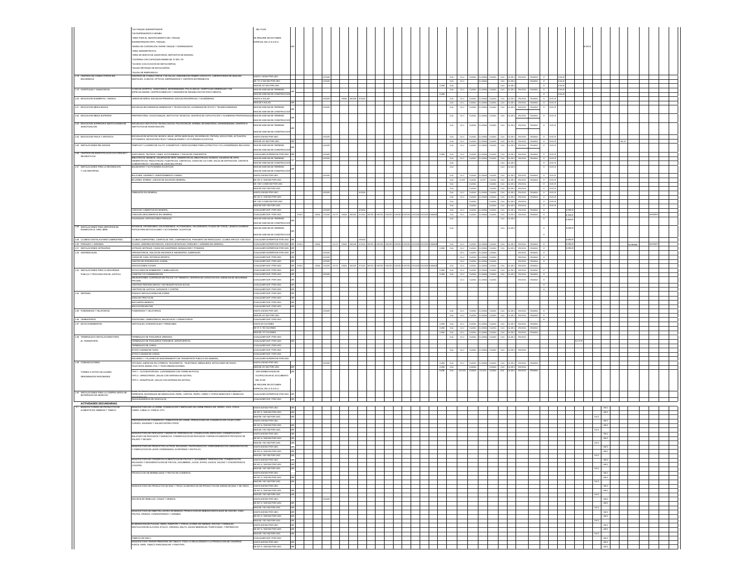|                                                                           | "UN TANQUE SUMINISTRADOR                                                                                                                                                                                           | DEL PLAN                                                      |                       |                  |            |                                                                             |         |  |                                   |                                               |                    |                                                        |                                                                                                                                               |                                        |                                                            |                         |                         |                                          |  |         |  |
|---------------------------------------------------------------------------|--------------------------------------------------------------------------------------------------------------------------------------------------------------------------------------------------------------------|---------------------------------------------------------------|-----------------------|------------------|------------|-----------------------------------------------------------------------------|---------|--|-----------------------------------|-----------------------------------------------|--------------------|--------------------------------------------------------|-----------------------------------------------------------------------------------------------------------------------------------------------|----------------------------------------|------------------------------------------------------------|-------------------------|-------------------------|------------------------------------------|--|---------|--|
|                                                                           | TIN DISPENSABIOS O BOMBA<br>'AREA PARA EL ABASTECIMENTO DEL TANQUE                                                                                                                                                 | SE REQUIRE DE DICTAMEN                                        |                       |                  |            |                                                                             |         |  |                                   |                                               |                    |                                                        |                                                                                                                                               |                                        |                                                            |                         |                         |                                          |  |         |  |
|                                                                           | CEMBER ARRESTS ROOMS<br>"BARDA DE CONTENCIÓN ENTRE TANQUE Y DISPENSARIOS.                                                                                                                                          | SPECIAL DE LA D.G.D.U.                                        |                       |                  |            |                                                                             |         |  |                                   |                                               |                    |                                                        |                                                                                                                                               |                                        |                                                            |                         |                         |                                          |  |         |  |
|                                                                           | AREA ADMINISTRATIVA<br>"AREA DE SERVICIOS (SANITARIOS, DEPOSITOS DE BASURA)                                                                                                                                        |                                                               |                       |                  |            |                                                                             |         |  |                                   |                                               |                    |                                                        |                                                                                                                                               |                                        |                                                            |                         |                         |                                          |  |         |  |
|                                                                           | CISTERNA CON CAPACIDAD MINIMA DE 10 000 LTS.<br>ACCESO (COLOCACION DE MATACHISPAS)                                                                                                                                 |                                                               |                       |                  |            |                                                                             |         |  |                                   |                                               |                    |                                                        |                                                                                                                                               |                                        |                                                            |                         |                         |                                          |  |         |  |
|                                                                           | SALIDA RETIRADA DE MATACHISPAS                                                                                                                                                                                     |                                                               |                       |                  |            |                                                                             |         |  |                                   |                                               |                    |                                                        |                                                                                                                                               |                                        |                                                            |                         |                         |                                          |  |         |  |
| 2.18 CENTROS DE COI<br>ENCAMADOS.                                         | SALIDA DE EMERGENCIA<br>ENTROS DE CONSULTORIOS Y DE SALUD, UNIDADES DE PRIMER CONTACTO, LABORATORIOS DE<br>JENTALES, CLINICOS, OPTICOS; DISPENSARIOS Y CENTROS ANTIRRABICOS.                                       | HASTA 120 M2 POR USO                                          | $\mathbf{I}$          |                  |            |                                                                             |         |  |                                   |                                               |                    |                                                        | cus cuc cussas cussas cussas cus custa causas causas e                                                                                        |                                        |                                                            | <b>C-SA-R</b>           |                         |                                          |  |         |  |
|                                                                           |                                                                                                                                                                                                                    | DE 121 A 500 M2 POR US<br>AS DE 501 M2 POR USO                |                       |                  |            |                                                                             |         |  | CUA<br>uka cuw                    | cu.c                                          |                    |                                                        | CUA CU-2E-2<br>cux cuase                                                                                                                      | CRUISSA E                              | $\overline{\phantom{a}}$                                   | <b>E-SA-R</b><br>E-SA-R |                         |                                          |  |         |  |
| 2.19 HOSPITALES Y SANATORIOS.                                             | .<br>LINCAS-HOSPITAL, SANATORIOS, MATERNIDADES, POLICUNICAS, HOSPITALES GENERALES Y DE<br>SPECIALIDADES. CENTROS MEDICOS Y UNIDADES DE REHABILITACION FISICO-MENTAL.                                               | MAS DE 6000 M2 DE TERRENO<br>MAS DE 5000 M2 DE CONS           |                       |                  |            |                                                                             |         |  |                                   |                                               |                    |                                                        | CUA CUC CU200A CU200A CU200A CUA CU-20-2 CRU333A CRU800A E                                                                                    |                                        | $\sim$                                                     | <b>D-SA-R</b><br>ESAR   |                         |                                          |  |         |  |
| 2.20 EDUCACION ELEMENTAL Y BASICA                                         | IDIN DE NIÑOS, ESCUELAS PRIMARIAS, EDUCACION ESPECIAL Y GUARDERIAS.                                                                                                                                                | HASTA 4 AULAS<br>MAS DE 5 AULAS                               |                       |                  |            |                                                                             |         |  |                                   | CUA CUC CU200A CU2500A<br>CUA CUC CU200A CU25 |                    |                                                        | 2004 CUA CU-25-2 CRU223A CRUBBOA E E-EC-R<br>CA CUA CUZE2 CRUSSA CRUSSA E ECC-R                                                               |                                        |                                                            |                         |                         |                                          |  |         |  |
| 2.21 EDUCACION MEDIA BASICA                                               | SCUELAS SECUNDARIAS GENERALES Y TECNOLOGICAS, ACADEMAS DE OFICIO Y TELESECUNDARIA                                                                                                                                  | AS DE 6000 M2 DE TERRENO                                      |                       |                  |            |                                                                             |         |  | CUA                               | cu.c                                          | A005LL             |                                                        | cu-zc-z                                                                                                                                       | CRU333A CRU800A                        | $E-EC-R$                                                   |                         |                         |                                          |  |         |  |
| 2.22 EDUCACION MEDIA SUPERIOR.                                            | EPARATORIA, VOCACIONALES, INSTITUTOS TECNICOS, CENTROS DE CAPACITACION Y ACADEMIAS PROFESIONALES MAS DE 6000 M2 DE TERRENO                                                                                         | IS DE 5000 M2 DE CONSTRU                                      |                       |                  |            |                                                                             |         |  | CUA                               | cu.c.                                         | CU200A CU 2500A    | A00SUC                                                 | CUA CU-ZE-2 CRU333A CRU800A                                                                                                                   |                                        | $E-EC-R$                                                   |                         |                         |                                          |  |         |  |
| 23 EDUCACION SUPERIO<br>INVESTIGACION.                                    | UELAS E INSTITUTOS TECNOI<br>ITUTOS DE INVESTIGACION.<br>GICOS, POLITECNICOS, NORMAL DE MAESTROS.                                                                                                                  | AS DE 5000 M2 DE CONSTRUCCIO<br>MAS DE 6000 M2 DE TERRENO     |                       |                  |            |                                                                             |         |  | CUA                               | $cu$ c                                        | 122004             |                                                        | cu-zc-z<br>CRUSSA                                                                                                                             | CRUISS                                 | $E-DC-R$                                                   |                         |                         |                                          |  |         |  |
|                                                                           |                                                                                                                                                                                                                    | MS DE 5000 M2 DE CONSTRUCCIO                                  |                       |                  |            |                                                                             |         |  |                                   |                                               |                    |                                                        |                                                                                                                                               |                                        |                                                            |                         |                         |                                          |  |         |  |
| 2.24 EDUCACION FISICA Y ARTISTICA                                         | SCUELAS DE NATACIÓN, MUSICA, BALE, ARTES MARCIALES, DE MODELOS, PINTURA, ESCULTURA, ACTUACIÓN.<br>DTOGRAFIA, EDUCACIÓN FISICA Y MANUALIDADES Y ACTIVIDADES ACUATICAS.                                              | HASTA 250 M2 POR USO.<br>MAS DE 251 M2 POR USO                | $\mathbf{I}$          | H3332E           |            |                                                                             |         |  | <b>CUA</b>                        |                                               |                    |                                                        | CUA   CUC   CU200A   CU200A   CU200A   CU3022   CRU222A   CRU200A   E   EEC-R<br>CUC CU200A CU2500A CU200A CUA CU2022 CRU333A CRU800A E EEC-R |                                        |                                                            |                         |                         |                                          |  |         |  |
| 2.25 INSTALACIONES RELIGIOSAS.                                            | MPLOS Y LUGARES DE CULTO; CONVENTOS Y EDIFICACIONES PARA LA PRACTICA Y/O LA ENSEÑANZA RELIGIOSA                                                                                                                    | AS DE 6000 M2 DE TERRENO<br>S DE 5000 M2 DE CONSTRUCCION      |                       |                  |            |                                                                             |         |  |                                   |                                               |                    |                                                        |                                                                                                                                               | 2 CRU333A CRU800A                      |                                                            |                         |                         |                                          |  |         |  |
| RECREATIVOS                                                               | AUDITORIOS, TEATROS, CINES, AUTOCINEMAS, Y SALAS DE CONCIERTOS.<br>BIR IOTECAS MUSEOS GALEBIAS DE ARTE HEMEROTECAS SUB IOTECAS MUSEOS GALEBIAS DE ARTE                                                             | CUALQUER SUPERFICIE POR USO. UIR<br>MAS DE 6000 M2 DE TERRENO |                       | 103325           |            |                                                                             |         |  | cus                               |                                               |                    |                                                        | URB CUA CUC CU200A CU200A CU200A CUA CU2022 CRU223A CRU200A E ECCR<br>CUA CU-25-2 CRU333A CRU800A                                             |                                        | $E = EEC-R$                                                |                         |                         |                                          |  |         |  |
|                                                                           | TECAS, PINACOTECAS, FILMOTECAS, CINETECAS, CASAS DE CULTURA, SALAS DE EXPOSICION, CENTROS                                                                                                                          | MAS DE 5000 M2 DE CONSTRUCCIO                                 |                       |                  |            |                                                                             |         |  | CUA                               |                                               | CUC CU200A CU2500A |                                                        | CUA CU-26-2                                                                                                                                   |                                        | $E = EEC-R$                                                |                         |                         |                                          |  |         |  |
| 2.27 INSTALACIONES PARA LA RECREACION<br>Y LOS DEPORTES.                  | ALNEARIOS Y ACTIVIDADES ACUATICAS.                                                                                                                                                                                 | MAS DE 6000 M2 DE TERRENO<br>MS DE 5000 M2 DE CONSTRUCCIO     |                       |                  |            |                                                                             |         |  | CUA                               |                                               |                    |                                                        | CU-ZE-2                                                                                                                                       |                                        | $E-EC-R$                                                   |                         |                         |                                          |  |         |  |
|                                                                           | BOLICHES, AJEDREZ Y ADIESTRAMENTO CANINO<br>BILLARES, DOMINO, JUEGOS DE SALON EN GENERAL                                                                                                                           | HASTA 250 M2 POR USO<br>DE 251 A 1000 M2 POR USO.             |                       |                  |            |                                                                             |         |  | <b>CUA</b>                        |                                               |                    |                                                        | CUC CU200A CU2500A CU200A CUA CU2022 CRU22A CRU200A<br>CUA CUNT CUZEA CUNT CUZEA CUA CUZEZ CRUZEA CRUZEA E ESCR                               |                                        | $E = 100R$                                                 |                         |                         |                                          |  |         |  |
|                                                                           |                                                                                                                                                                                                                    | DE 1001 A 5000 M2 POR USO.<br>MAS DE 5001 M2 POR USO.         |                       |                  |            |                                                                             |         |  | <b>CUA</b><br>CUA                 |                                               | CU200A<br>CU200A   |                                                        | CU200A CUA CU-26-2 CRU333A<br>CU200A CUA CU-25-2 CRU333A                                                                                      |                                        | $E = ECO-R$<br>$E$ $ECC-R$                                 |                         |                         |                                          |  |         |  |
|                                                                           | <b>INASIOS EN GENERAL</b>                                                                                                                                                                                          | HASTA 250 M2 POR USO<br>DE 251 A 1000 M2 POR USO.             |                       |                  |            |                                                                             |         |  | CUA<br>cus I                      |                                               |                    |                                                        | CUC CU200A CU250A CU200A CUA CU-25-2 CRU333A CRU806<br>CUC CU200A CU2500A CU200A CUA CU-201-2 CRU333A CRU800A                                 |                                        | E EECR<br>$E = EEC-R$                                      |                         |                         |                                          |  |         |  |
|                                                                           |                                                                                                                                                                                                                    | DE 1001 A 5000 M2 POR USO.                                    |                       |                  |            |                                                                             |         |  | <b>CUA</b>                        |                                               | CU200A             |                                                        | CU200A CUA CU-20-2 CRU333A                                                                                                                    |                                        | $E$ D-DD-R                                                 |                         |                         |                                          |  |         |  |
|                                                                           | <b>CANCHAS CUBIERTAS EN GENERAL</b>                                                                                                                                                                                | MAS DE 5001 M2 POR USO.<br>LIALQUER SUP. POR USO.             |                       | <b>H3332E</b>    |            |                                                                             |         |  | <b>CUA</b>                        |                                               | CU200A             |                                                        | CU200A CUA CU-2E-2 CRU333A<br>CUA CUC CU200A CU2500A CU200A CUA CU-25-2 CRU333A CRU800A                                                       |                                        | $E = EQ - R$<br><b>Contract Contract Contract Contract</b> |                         | E-RD-R                  |                                          |  |         |  |
|                                                                           | CANCHAS DESCUBIERTAS EN GENERAL.<br>ALENQUES, EXPOSICIONES FERIALES                                                                                                                                                | CUALQUER SUP. POR USO.<br>MAS DE 6000 M2 DE TERRENO           |                       |                  |            | H200A H2332E H417A H500A H8332E H1000A 10672E-1H10672E-4H16672E-3H16672E-3H | 6725-10 |  | CUA I<br>CUA                      |                                               |                    |                                                        | CUC CU200A CU2500A CU200A CUA CU-25-2 CRU220A CRU800A<br>cu-zc-                                                                               |                                        | $\mathbb{Z}$                                               | ERDR                    |                         |                                          |  | N-PAR-P |  |
| 2.28 INSTALACIONES PARA DEPORTES DE                                       | : STADIOS, HIPODROMOS, GALGODROMOS, AUTODROMOS, VELODROMOS, PLAZAS DE TOROS, LIENZOS CHARROS<br>PISTAS PARA MOTOCICLISMO Y ACTIVIDADES ACUATICAS                                                                   | AS DE 5000 M2 DE CONSTRUCCIO<br>MAS DE 6000 M2 DE TERRENO     |                       |                  |            |                                                                             |         |  |                                   |                                               |                    |                                                        | cu-zc-                                                                                                                                        |                                        |                                                            |                         |                         |                                          |  |         |  |
| EXHIBICION AL AIRE LIBRE.                                                 |                                                                                                                                                                                                                    | MS DE 5000 M2 DE CONSTRUCCIO                                  |                       |                  |            |                                                                             |         |  |                                   |                                               |                    |                                                        |                                                                                                                                               |                                        |                                                            |                         |                         |                                          |  |         |  |
| 2.29 CLUBES E INSTALACIONES CAMPESTRES<br>2.30 PARQUES Y JARDINES.        | CLUBES CAMPESTRES, CAMPOS DE TIRO, CAMPAMENTOS, PARADERO DE REMOLQUES, CLUBES HIPICOS Y DE GOLF. CUALQUIER SUPERFICIE POR USO. UIR<br>PLAZAS, JARDINES BOTANICOS, JUEGOS INFANTILES, PARQUES Y JARDINES EN GENERAL | CUALQUER SUPERFICIE POR USO. UIR                              |                       |                  |            | 000A 156572E-10156572E-0156572E-0156572E-01                                 |         |  |                                   |                                               |                    |                                                        |                                                                                                                                               |                                        |                                                            |                         | E-RD-R                  |                                          |  |         |  |
| 2.31 INSTALACIONES HOTELERAS                                              | HOTELES, MOTELES, CASAS DE HUESPEDES, BUNGALOWS Y POSADAS                                                                                                                                                          | CUALQUER SUPERFICIE POR USO. UIR                              |                       |                  | ACCENT ADD |                                                                             |         |  |                                   |                                               |                    |                                                        | CIA CUC CU200A CU200A CU200A CUA CUAE CHUECA CRUSSA CRUSSA E<br>CURB CUA CUC CUZERA CUZEROA CUZERA CUA CUZERA CRUZERA CRUZERA E               |                                        |                                                            |                         | E-RD-R<br><b>E-RD-R</b> |                                          |  |         |  |
| 2.32 ASISTENCIALES.                                                       | ORFANATORIOS, ASILOS DE ANCIANOS E INDIGENTES, ALBERGUES.<br>CASAS DE CUNA, ESTANCIA INFANTIL                                                                                                                      | CUALQUER SUPERFICIE POR USO. UIR<br>CUALQUER SUP. POR USO.    | lure                  | 10332E<br>10332E |            |                                                                             |         |  |                                   |                                               |                    | CUC CU200A CU2500A CU200A<br>CUC CU200A CU2500A CU200A |                                                                                                                                               | CRU223A CRU800A E<br>CRU223A CRU800A E |                                                            |                         |                         |                                          |  |         |  |
|                                                                           | ENTRO DE INTEGRACION JUVENIL.<br>CIACIONES CIVILES.                                                                                                                                                                | CUALQUER SUP. POR USO.<br>CUALQUER SUP. POR USO.              | <b>LUIR</b> H         | oazc             |            |                                                                             |         |  |                                   |                                               |                    | CUC CU200A CU2500A CU200A                              | CUA CUC CU200A CU250A CU200A CUA CU-25-2 CRU33A CRU800A                                                                                       | CRU223A CRUBBOA E                      |                                                            |                         |                         |                                          |  |         |  |
| 2.33 INSTALACIONES PARA LA SEGURIDAD<br>PUBLICA Y PROCURACION DE JUSTICIA | STACIONES DE BOMBEROS Y AMBULANCIAS.<br>ASETAS Y/O COMANDANCIAS                                                                                                                                                    | CUALQUER SUP. POR USO.<br>CUALQUER SUP. POR USO.              |                       |                  |            |                                                                             |         |  | AURA BRUS                         |                                               | CUC CU200A CU25    |                                                        | CURR CUA CUC CU200A CU200A CU200A CUA CU-25-2 CRU33A CRU800A E<br>CUA CU-20-2                                                                 | CRU333A CRUBBS                         | $\mathbb{Z}$                                               |                         |                         |                                          |  |         |  |
|                                                                           | DELEGACIONES ,CUARTELES DE POLICIA Y/O TRANSITO. CENTROS DE CAPACITACION, AGENCIAS DE SEGL<br>PRIVADA.                                                                                                             | CUALQUER SUP. POR USO.                                        | un                    |                  |            |                                                                             |         |  |                                   | cu.c                                          | CU200A CU25        |                                                        |                                                                                                                                               | CRU22A CRUBBS                          | ×                                                          |                         |                         |                                          |  |         |  |
|                                                                           | CENTROS PENITENCIARIOS Y DE READAPTACION SOCIAL<br>CENTROS DE JUSTICIA, JUZGADOS Y CORTES                                                                                                                          | CUALQUER SUP. POR USO.<br>CUALQUER SUP, POR US                | <b>Lure</b>           |                  |            |                                                                             |         |  |                                   |                                               |                    |                                                        |                                                                                                                                               |                                        | $\mathbb{Z}$                                               |                         |                         |                                          |  |         |  |
| 2.34 DEFENSA.                                                             | CONAS E INSTALACIONES MILITARES.<br>CONA DE PRACTICAS.                                                                                                                                                             | CUALQUER SUP. POR USO<br>CUALQUER SUP. POR US                 | $\sqrt{m}$            |                  |            |                                                                             |         |  |                                   |                                               |                    |                                                        |                                                                                                                                               |                                        |                                                            |                         |                         |                                          |  |         |  |
|                                                                           | ENCUARTELAMENTO<br>DUCACION MILITAR                                                                                                                                                                                | CUALQUER SUP. POR USO.<br>CUALQUER SUP. POR USO               |                       |                  |            |                                                                             |         |  |                                   |                                               |                    |                                                        |                                                                                                                                               |                                        |                                                            |                         |                         |                                          |  |         |  |
| 2.35 FUNERARIAS Y VELATORIOS.                                             | <b>RARIAS Y VELATORIO</b>                                                                                                                                                                                          | HASTA 250 M2 POR USO                                          |                       |                  |            |                                                                             |         |  | <b>CUA</b>                        |                                               |                    |                                                        | CUA CU-ZE-2                                                                                                                                   |                                        |                                                            |                         |                         |                                          |  |         |  |
| 2.35 CEMENTERIOS.                                                         | PANTEONES, CEMENTERIOS, MAUSOLEOS Y CREMATORIOS.                                                                                                                                                                   | MAS DE 251 M2 POR USO<br>CUALQUER SUP. POR USO                |                       |                  |            |                                                                             |         |  | CUA                               |                                               |                    |                                                        | CUA CU-26-2<br>CRU333A CR                                                                                                                     |                                        | $\blacksquare$                                             |                         |                         |                                          |  |         |  |
| 2.37 ESTACIONAMENTOS                                                      | RTICALES, HORIZONTALES Y PENSIONES                                                                                                                                                                                 |                                                               |                       |                  |            |                                                                             |         |  | RB CUA                            |                                               | CUC CU200A CU2500A |                                                        | 200A CUA CU-2E-2 CRU333A CRUB<br>CURB CUA CUC CU200A CU200A CU200A CUA CU-202 CRU223A CRU806                                                  |                                        |                                                            |                         |                         |                                          |  |         |  |
|                                                                           |                                                                                                                                                                                                                    | HASTA 50 CAJONES.<br>DE 51 A 100 CAJONES.                     |                       |                  |            |                                                                             |         |  |                                   |                                               |                    |                                                        |                                                                                                                                               |                                        |                                                            |                         |                         |                                          |  |         |  |
| 2.38 TERMINALES E INSTALACIONES PARA                                      | TERMINALES DE PASAJEROS URBANOS.                                                                                                                                                                                   | MAS DE 101 CAJONES<br>CUALQUER SUP. POR USO                   |                       |                  |            |                                                                             |         |  | URB CUA CUC CU200A CU2500A CU200A |                                               |                    |                                                        | CUA CU-25-2 CRUSSA CRUSS<br>CUA CUC CU200A CU2500A CU200A CUA CU-25-2 CRU333A                                                                 |                                        |                                                            |                         |                         |                                          |  |         |  |
| EL TRANSPORTE.                                                            | ERMINALES DE PASAJEROS FORANEOS, AEROPUERTOS.                                                                                                                                                                      | CUALQUER SUP. POR USO.                                        |                       |                  |            |                                                                             |         |  |                                   |                                               |                    |                                                        |                                                                                                                                               |                                        |                                                            |                         | CT-8                    |                                          |  |         |  |
|                                                                           | TERMINALES DE CARGA.<br>SITIOS O BASES DE TAXIS.                                                                                                                                                                   | CUALQUER SUP. POR USO.<br>CUALQUER SUP. POR USO.              |                       |                  |            |                                                                             |         |  |                                   | CUA CUC CU200A CU2500A                        |                    | A005UC                                                 | CUA CU-ZE-2 CRU333A                                                                                                                           |                                        |                                                            |                         |                         |                                          |  |         |  |
|                                                                           | ITIOS O BASES DE CARGA.<br>NCIERRO Y TALLERES DE MANTENMIENTO DE TRANSPORTE PUBLICO EN GENERAL                                                                                                                     | CUALQUER SUP. POR USO.<br>CUALQUER SUPERFICIE POR US          |                       |                  |            |                                                                             |         |  |                                   |                                               |                    |                                                        |                                                                                                                                               |                                        |                                                            |                         |                         |                                          |  |         |  |
| 2.39 COMUNICACIONES.                                                      | DFICINAS, AGENCIAS DE CORREOS, TELEGRAFOS, TELEFONOS, MENSAJERIA, ESTACIONES DE RADIO,<br>FELEVISION, BANDA CIVIL Y TELECOMUNICACIONES.                                                                            | 1ASTA 250 M2 POR USO.<br>MAS DE 251 M2 POR USO.               |                       | <b>H3332E</b>    |            |                                                                             |         |  | CURB CUA                          |                                               | cusso.             |                                                        | CURB CUA CUC CU2BBA CU2BBA CU2BBA CUA CU-2B-2 CRU333A CRUBBE<br>CU200A CUA CU-20-2 CRU22A                                                     |                                        |                                                            |                         |                         |                                          |  |         |  |
| TORRES O SITIOS CELULARES<br>DENOMINADOS RADIOBASES                       | TIPO 1 .- AUTOSOPORTADA (CONTENEDOR CON TORRE EN PATIO)<br>TIPO 2 - ARRIOSTRADA (SALAS CON ANTENAS EN AZOTEA)                                                                                                      | VER NORMATIVIDAD DE<br>OCUPACION EN EL DOCUMENTO              |                       |                  |            |                                                                             |         |  | CUA                               |                                               |                    |                                                        | CRUIX<br>cu-za                                                                                                                                |                                        |                                                            |                         |                         |                                          |  |         |  |
|                                                                           | FIPO 3 - MONOPOLAR (SALAS CON ANTENAS EN AZOTEA)                                                                                                                                                                   | DEL PLAN<br>E REQUIRE DE DICTAMEN                             |                       |                  |            |                                                                             |         |  |                                   |                                               |                    |                                                        |                                                                                                                                               |                                        |                                                            |                         |                         |                                          |  |         |  |
| 0 INSTALACIONES PARA LA O                                                 |                                                                                                                                                                                                                    | PECIAL DE LA D.G.D.U                                          |                       |                  |            |                                                                             |         |  |                                   |                                               |                    |                                                        |                                                                                                                                               |                                        |                                                            |                         |                         |                                          |  |         |  |
| MATERIALES DE DESECHO.                                                    | ERROZOS, MATERIALES DE DEMOLICION, PAPEL, CARTON, TRAPO, VIDRIO Y OTROS DESECHOS Y RESIDUOS<br>NATINALES<br>ISHUESADEROS DE VEHICULOS.                                                                             | CUALQUER SUPERFICIE POR USO. UR<br>CUALQUER SUP. POR USO.     |                       |                  |            |                                                                             |         |  |                                   |                                               |                    |                                                        |                                                                                                                                               |                                        |                                                            |                         |                         |                                          |  |         |  |
| ACTIVIDADES SECUNDARIAS.                                                  |                                                                                                                                                                                                                    | HASTA 600 M2 POR USO.                                         |                       |                  |            |                                                                             |         |  |                                   |                                               |                    |                                                        |                                                                                                                                               |                                        |                                                            |                         |                         | $1-16$ C                                 |  |         |  |
| MANUFACTURERA DE PRODU<br>ALMENTICIOS, BEBIDAS Y TAI                      | NUFACTURA DE LA CARNE: CONGELACIÓN Y EMPACADO DE CARNE FRESCA DE: CERDO, VACA, OVEJA<br>BRA, CABALLO, CONEJO, ETC.                                                                                                 | DE 601 A 1500 M2 POR USO.<br>MAS DE 1501 M2 POR USO.          |                       |                  |            |                                                                             |         |  |                                   |                                               |                    |                                                        |                                                                                                                                               |                                        |                                                            |                         |                         | $1-16$ C                                 |  |         |  |
|                                                                           | REPARACIÓN DE CONSERVAS Y EMBUTIDOS DE CARNE; OPERACIÓNES DE CONSERVACIÓN TALES COM<br>URADO, AHUMADO Y SALADO ENTRE OTROS.                                                                                        | HASTA 300 M2 POR USO.                                         |                       |                  |            |                                                                             |         |  |                                   |                                               |                    |                                                        |                                                                                                                                               |                                        |                                                            |                         |                         | <b>I-M-C</b>                             |  |         |  |
|                                                                           |                                                                                                                                                                                                                    | DE 301 A 1000 M2 POR USO<br>MAS DE 1001 M2 POR USO            |                       |                  |            |                                                                             |         |  |                                   |                                               |                    |                                                        |                                                                                                                                               |                                        |                                                            |                         |                         | <b>IMC</b><br><b>HG-C</b>                |  |         |  |
|                                                                           | MANUFACTURA DE PESCADOS Y MARISCOS: PREPARACIÓN, CONGELACIÓN, EMPACADO, CONSERVACIÓN Y<br>ENLATADO DE PESCADOS Y MARISCOS. CONSERVACIÓN DE PESCADOS Y MARISCOS MEDIANTE PROCESOS DE<br>SALADO Y SECADO.            | HASTA 600 M2 POR USO.<br>DE 601 A 1500 M2 POR USO             |                       |                  |            |                                                                             |         |  |                                   |                                               |                    |                                                        |                                                                                                                                               |                                        |                                                            |                         |                         | <b>IMC</b><br><b>IMC</b>                 |  |         |  |
|                                                                           | <b>ITACION</b>                                                                                                                                                                                                     | MAS DE 1501 M2 INDE LISO<br>HASTA 600 M2 POR LISO             |                       |                  |            |                                                                             |         |  |                                   |                                               |                    |                                                        |                                                                                                                                               |                                        |                                                            |                         |                         | sec.<br>$1-16$ C                         |  |         |  |
|                                                                           | MANUFACTURA DE PRODUCTOS LACTEOS: ENVASADO, PASTEURIZACION, HOMOGENEIZACION, DESHIDRA<br>Y FABRICACION DE LECHE CONDENSADA, EVAPORADA Y EN POLVO.                                                                  | MAS DE 1501 M2 POR USO.                                       |                       |                  |            |                                                                             |         |  |                                   |                                               |                    |                                                        |                                                                                                                                               |                                        |                                                            |                         |                         |                                          |  |         |  |
|                                                                           | MANUFACTURA DE CONSERVAS ALIMENTICIAS DE FRUTAS Y LEGUMBRES: PREPARACION, CONSERVACION<br>INVASADO Y DESHIDRATACION DE FRUTAS, LEGUMBRES, JUGOS, SOPAS, GUISOS, SALSAS Y CONCENTRADOS                              | HASTA 600 M2 POR USO.                                         |                       |                  |            |                                                                             |         |  |                                   |                                               |                    |                                                        |                                                                                                                                               |                                        |                                                            |                         |                         | <b>IMC</b>                               |  |         |  |
|                                                                           | CALDOS).                                                                                                                                                                                                           | DE 601 A 1500 M2 POR USO.<br>MAS DE 1501 M2 POR USO.          | lurel                 |                  |            |                                                                             |         |  |                                   |                                               |                    |                                                        |                                                                                                                                               |                                        |                                                            |                         |                         | $146\,G$                                 |  |         |  |
|                                                                           | RODUCCION DE MERMELADAS Y FRUTAS EN CONSERVA.                                                                                                                                                                      | HASTA 600 M2 POR USO.<br>DE 601 A 1500 M2 POR USO             |                       |                  |            |                                                                             |         |  |                                   |                                               |                    |                                                        |                                                                                                                                               |                                        |                                                            |                         |                         | $1 \text{M-G}$<br>$146C$                 |  |         |  |
|                                                                           | MANUFACTURA DE PRODUCTOS DE MAIZ Y TRIGO: ELABORACIÓN DE PRODUCTOS DE HARINA DE MAIZ Y DE TRIG                                                                                                                     | MAS DE 1501 M2 POR USO<br>HASTA 600 M2 POR USO                |                       |                  |            |                                                                             |         |  |                                   |                                               |                    |                                                        |                                                                                                                                               |                                        |                                                            |                         |                         | $1-16$ C                                 |  |         |  |
|                                                                           |                                                                                                                                                                                                                    | DE 601 A 1500 M2 POR USO.                                     | <b>u</b> <sub>R</sub> |                  |            |                                                                             |         |  |                                   |                                               |                    |                                                        |                                                                                                                                               |                                        |                                                            |                         |                         | $1 \text{M} \text{C}$<br><b>I-G-C</b>    |  |         |  |
|                                                                           | MOLINOS DE SEMILLAS, CHLES Y GRANOS.                                                                                                                                                                               | MAS DE 1501 M2 POR USO.<br>HASTA 600 M2 POR USO.              |                       | O33ZE            |            |                                                                             |         |  |                                   |                                               |                    |                                                        |                                                                                                                                               |                                        |                                                            |                         |                         | $^{\rm LMC}$                             |  |         |  |
|                                                                           |                                                                                                                                                                                                                    | DE 601 A 1500 M2 POR USO.<br>MAS DE 1501 M2 POR USO.          |                       |                  |            |                                                                             |         |  |                                   |                                               |                    |                                                        |                                                                                                                                               |                                        |                                                            |                         |                         | $1\text{-}\mathrm{M}\text{-}\mathrm{C}$  |  |         |  |
|                                                                           | IANUFACTURA DE EMBOTELLADORA DE BEBIDAS: PRODUCCION DE BEBIDAS DESTILADAS DE AGAVES. CARA<br>RUTAS, GRANOS, CONCENTRADOS Y JARABES.                                                                                | HASTA 600 M2 POR USO.<br>DE 601 A 1500 M2 POR USO.            | lurd                  |                  |            |                                                                             |         |  |                                   |                                               |                    |                                                        |                                                                                                                                               |                                        |                                                            |                         |                         | $1-10-12$<br>$1 \text{M} \cdot \text{C}$ |  |         |  |
|                                                                           |                                                                                                                                                                                                                    | MAS DE 1501 M2 POR USO.<br>HASTA 600 M2 POR USO.              | lurel                 |                  |            |                                                                             |         |  |                                   |                                               |                    |                                                        |                                                                                                                                               |                                        |                                                            |                         |                         | <b>I-M-C</b>                             |  |         |  |
|                                                                           | ELABORACIÓN DE PULQUE, SIDRA, ROMPOPE Y OTROS LICORES DE HIERBAS, FRUTAS Y CEREALES;<br>DESTILACIÓN DE ALCOHOL ETILICO, CERVEZA, MALTA, AGUAS MINERALES, PURIFICADAS, Y REFRESCOS.                                 | DE 601 A 1500 M2 POR USO.<br>MAS DE 1501 M2 POR USO.          | <b>LIIR</b>           |                  |            |                                                                             |         |  |                                   |                                               |                    |                                                        |                                                                                                                                               |                                        |                                                            |                         |                         | <b>IMC</b>                               |  |         |  |
|                                                                           | FABRICA DE HIELO<br>NUFACTURA TRANSFORMADORA DE TABACO: TODO LO RELACIONADO A LA PRODUCCIÓN DE CIGA<br>IROS, RAPE, TABACO PARA MASCAR Y PARA PIPA.                                                                 | CUALQUER SUP. POR USO.<br>HASTA 600 M2 POR USO.               | un                    |                  |            |                                                                             |         |  |                                   |                                               |                    |                                                        |                                                                                                                                               |                                        |                                                            |                         |                         | <b>IMC</b><br><b>I-M-C</b>               |  |         |  |